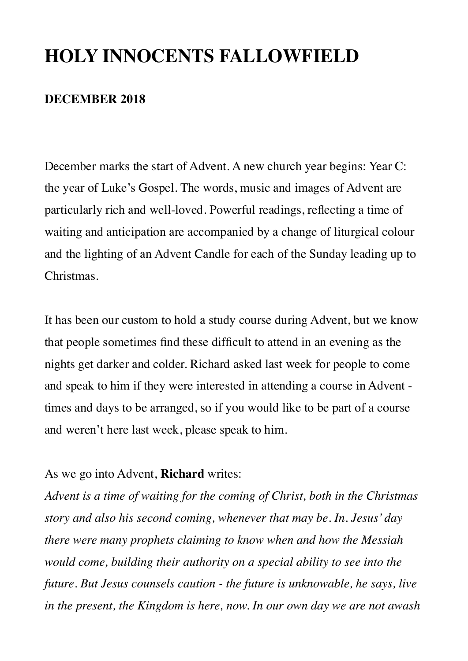# **HOLY INNOCENTS FALLOWFIELD**

#### **DECEMBER 2018**

December marks the start of Advent. A new church year begins: Year C: the year of Luke's Gospel. The words, music and images of Advent are particularly rich and well-loved. Powerful readings, reflecting a time of waiting and anticipation are accompanied by a change of liturgical colour and the lighting of an Advent Candle for each of the Sunday leading up to Christmas.

It has been our custom to hold a study course during Advent, but we know that people sometimes find these difficult to attend in an evening as the nights get darker and colder. Richard asked last week for people to come and speak to him if they were interested in attending a course in Advent times and days to be arranged, so if you would like to be part of a course and weren't here last week, please speak to him.

#### As we go into Advent, **Richard** writes:

*Advent is a time of waiting for the coming of Christ, both in the Christmas story and also his second coming, whenever that may be. In. Jesus' day there were many prophets claiming to know when and how the Messiah would come, building their authority on a special ability to see into the future. But Jesus counsels caution - the future is unknowable, he says, live in the present, the Kingdom is here, now. In our own day we are not awash*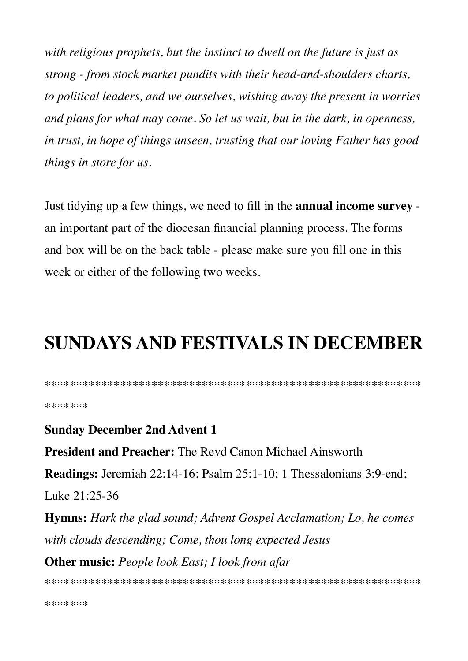with religious prophets, but the instinct to dwell on the future is just as strong - from stock market pundits with their head-and-shoulders charts, to political leaders, and we ourselves, wishing away the present in worries and plans for what may come. So let us wait, but in the dark, in openness, in trust, in hope of things unseen, trusting that our loving Father has good things in store for us.

Just tidying up a few things, we need to fill in the **annual income survey** an important part of the diocesan financial planning process. The forms and box will be on the back table - please make sure you fill one in this week or either of the following two weeks.

# **SUNDAYS AND FESTIVALS IN DECEMBER**

\*\*\*\*\*\*\*

**Sunday December 2nd Advent 1 President and Preacher:** The Revd Canon Michael Ainsworth Readings: Jeremiah 22:14-16; Psalm 25:1-10; 1 Thessalonians 3:9-end; Luke  $21:25-36$ **Hymns:** Hark the glad sound; Advent Gospel Acclamation; Lo, he comes with clouds descending; Come, thou long expected Jesus **Other music:** People look East; I look from afar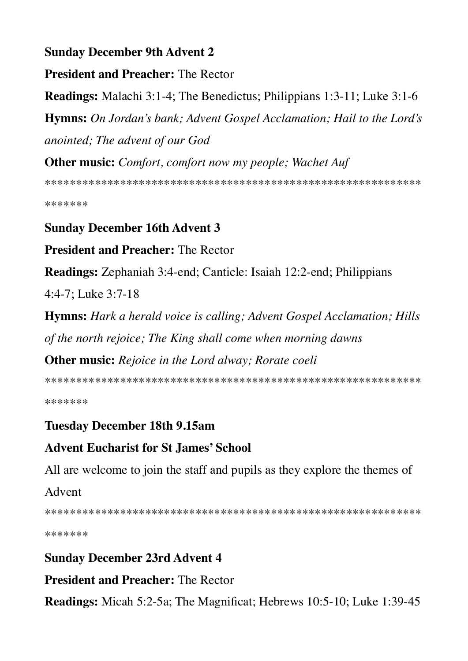## **Sunday December 9th Advent 2**

**President and Preacher: The Rector** 

**Readings:** Malachi 3:1-4; The Benedictus; Philippians 1:3-11; Luke 3:1-6 **Hymns:** On Jordan's bank; Advent Gospel Acclamation; Hail to the Lord's anointed; The advent of our God

**Other music:** Comfort, comfort now my people; Wachet Auf

\*\*\*\*\*\*\*

## **Sunday December 16th Advent 3**

### **President and Preacher: The Rector**

**Readings:** Zephaniah 3:4-end; Canticle: Isaiah 12:2-end; Philippians

4:4-7: Luke 3:7-18

**Hymns:** Hark a herald voice is calling; Advent Gospel Acclamation; Hills of the north rejoice; The King shall come when morning dawns

**Other music:** Rejoice in the Lord alway; Rorate coeli

\*\*\*\*\*\*\*

## **Tuesday December 18th 9.15am**

## **Advent Eucharist for St James' School**

All are welcome to join the staff and pupils as they explore the themes of

Advent

\*\*\*\*\*\*\*

# **Sunday December 23rd Advent 4**

### **President and Preacher: The Rector**

**Readings:** Micah 5:2-5a; The Magnificat; Hebrews 10:5-10; Luke 1:39-45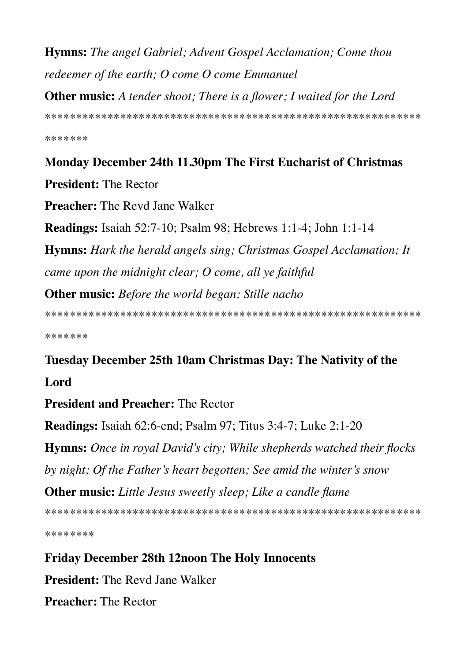**Hymns:** The angel Gabriel; Advent Gospel Acclamation; Come thou redeemer of the earth; O come O come Emmanuel

**Other music:** A tender shoot; There is a flower; I waited for the Lord

\*\*\*\*\*\*\*

Monday December 24th 11.30pm The First Eucharist of Christmas

**President: The Rector** 

**Preacher:** The Revd Jane Walker

**Readings:** Isaiah 52:7-10; Psalm 98; Hebrews 1:1-4; John 1:1-14 **Hymns:** Hark the herald angels sing; Christmas Gospel Acclamation; It came upon the midnight clear;  $O$  come, all ye faithful **Other music:** Before the world began; Stille nacho

\*\*\*\*\*\*\*

Tuesday December 25th 10am Christmas Day: The Nativity of the Lord

**President and Preacher: The Rector** 

**Readings:** Isaiah 62:6-end; Psalm 97; Titus 3:4-7; Luke 2:1-20

Hymns: Once in royal David's city; While shepherds watched their flocks

by night; Of the Father's heart begotten; See amid the winter's snow

**Other music:** Little Jesus sweetly sleep; Like a candle flame

\*\*\*\*\*\*\*\*

**Friday December 28th 12noon The Holy Innocents President:** The Revd Jane Walker **Preacher: The Rector**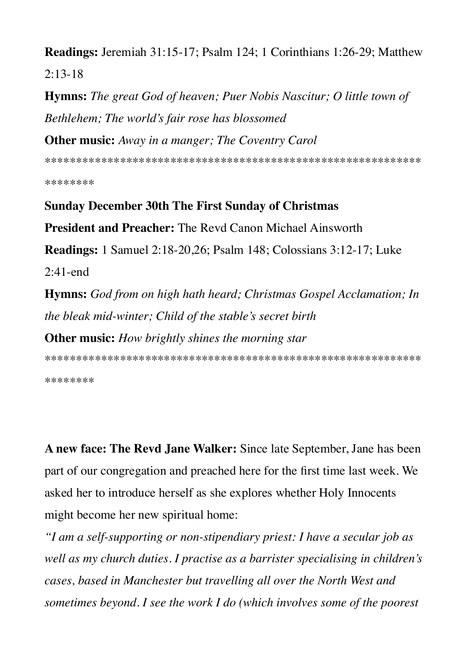Readings: Jeremiah 31:15-17; Psalm 124; 1 Corinthians 1:26-29; Matthew  $2:13-18$ 

**Hymns:** The great God of heaven; Puer Nobis Nascitur; O little town of Bethlehem; The world's fair rose has blossomed **Other music:** Away in a manger; The Coventry Carol

\*\*\*\*\*\*\*\*

#### **Sunday December 30th The First Sunday of Christmas**

**President and Preacher:** The Revd Canon Michael Ainsworth

**Readings:** 1 Samuel 2:18-20, 26; Psalm 148; Colossians 3:12-17; Luke

 $2.41$ -end

**Hymns:** God from on high hath heard; Christmas Gospel Acclamation; In the bleak mid-winter; Child of the stable's secret birth

**Other music:** How brightly shines the morning star

\*\*\*\*\*\*\*\*

A new face: The Revd Jane Walker: Since late September, Jane has been part of our congregation and preached here for the first time last week. We asked her to introduce herself as she explores whether Holy Innocents might become her new spiritual home:

"I am a self-supporting or non-stipendiary priest: I have a secular job as well as my church duties. I practise as a barrister specialising in children's cases, based in Manchester but travelling all over the North West and sometimes beyond. I see the work I do (which involves some of the poorest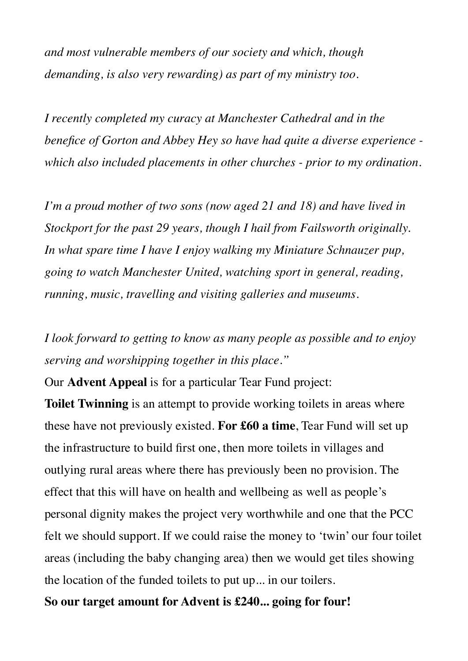*and most vulnerable members of our society and which, though demanding, is also very rewarding) as part of my ministry too.*

*I recently completed my curacy at Manchester Cathedral and in the benefice of Gorton and Abbey Hey so have had quite a diverse experience which also included placements in other churches - prior to my ordination.*

*I'm a proud mother of two sons (now aged 21 and 18) and have lived in Stockport for the past 29 years, though I hail from Failsworth originally. In what spare time I have I enjoy walking my Miniature Schnauzer pup, going to watch Manchester United, watching sport in general, reading, running, music, travelling and visiting galleries and museums.*

*I look forward to getting to know as many people as possible and to enjoy serving and worshipping together in this place."*

Our **Advent Appeal** is for a particular Tear Fund project:

**Toilet Twinning** is an attempt to provide working toilets in areas where these have not previously existed. **For £60 a time**, Tear Fund will set up the infrastructure to build first one, then more toilets in villages and outlying rural areas where there has previously been no provision. The effect that this will have on health and wellbeing as well as people's personal dignity makes the project very worthwhile and one that the PCC felt we should support. If we could raise the money to 'twin' our four toilet areas (including the baby changing area) then we would get tiles showing the location of the funded toilets to put up... in our toilers.

#### **So our target amount for Advent is £240... going for four!**